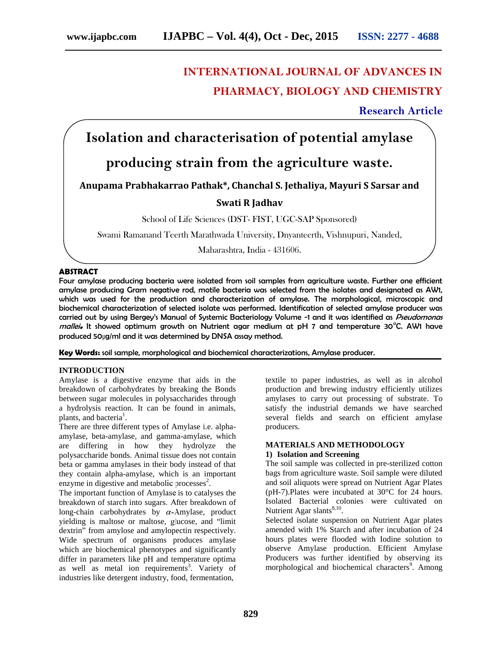# **INTERNATIONAL JOURNAL OF ADVANCES IN PHARMACY, BIOLOGY AND CHEMISTRY**

**Research Article**

# **Isolation and characterisation of potential amylase**

## **producing strain from the agriculture waste.**

**Anupama Prabhakarrao Pathak\*, Chanchal S. Jethaliya, Mayuri S Sarsar and**

## **Swati R Jadhav**

School of Life Sciences (DST- FIST, UGC-SAP Sponsored)

Swami Ramanand Teerth Marathwada University, Dnyanteerth, Vishnupuri, Nanded,

Maharashtra, India - 431606.

### **ABSTRACT**

Four amylase producing bacteria were isolated from soil samples from agriculture waste. Further one efficient amylase producing Gram negative rod, motile bacteria was selected from the isolates and designated as AW1, which was used for the production and characterization of amylase. The morphological, microscopic and biochemical characterization of selected isolate was performed. Identification of selected amylase producer was carried out by using Bergey's Manual of Systemic Bacteriology Volume -1 and it was identified as *Pseudomonas mallei***.** It showed optimum growth on Nutrient agar medium at pH 7 and temperature 30°C. AW1 have produced 50μg/ml and it was determined by DNSA assay method.

**Key Words:** soil sample, morphological and biochemical characterizations, Amylase producer.

### **INTRODUCTION**

Amylase is a digestive enzyme that aids in the breakdown of carbohydrates by breaking the Bonds between sugar molecules in polysaccharides through a hydrolysis reaction. It can be found in animals, plants, and bacteria<sup>1</sup>.

There are three different types of Amylase i.e. alpha amylase, beta-amylase, and gamma-amylase, which are differing in how they hydrolyze the polysaccharide bonds. Animal tissue does not contain beta or gamma amylases in their body instead of that they contain alpha-amylase, which is an important enzyme in digestive and metabolic processes<sup>2</sup>.

The important function of Amylase is to catalyses the breakdown of starch into sugars. After breakdown of long-chain carbohydrates by  $\alpha$ -Amylase, product yielding is maltose or maltose, glucose, and "limit dextrin" from amylose and amylopectin respectively. Wide spectrum of organisms produces amylase which are biochemical phenotypes and significantly differ in parameters like pH and temperature optima as well as metal ion requirements<sup>3</sup>. Variety of industries like detergent industry, food, fermentation,

textile to paper industries, as well as in alcohol production and brewing industry efficiently utilizes amylases to carry out processing of substrate. To satisfy the industrial demands we have searched several fields and search on efficient amylase producers.

## **MATERIALS AND METHODOLOGY**

## **1) Isolation and Screening**

The soil sample was collected in pre-sterilized cotton bags from agriculture waste. Soil sample were diluted and soil aliquots were spread on Nutrient Agar Plates (pH-7).Plates were incubated at 30°C for 24 hours. Isolated Bacterial colonies were cultivated on Nutrient Agar slants $^{8,10}$ .

Selected isolate suspension on Nutrient Agar plates amended with 1% Starch and after incubation of 24 hours plates were flooded with Iodine solution to observe Amylase production. Efficient Amylase Producers was further identified by observing its morphological and biochemical characters<sup>9</sup>. Among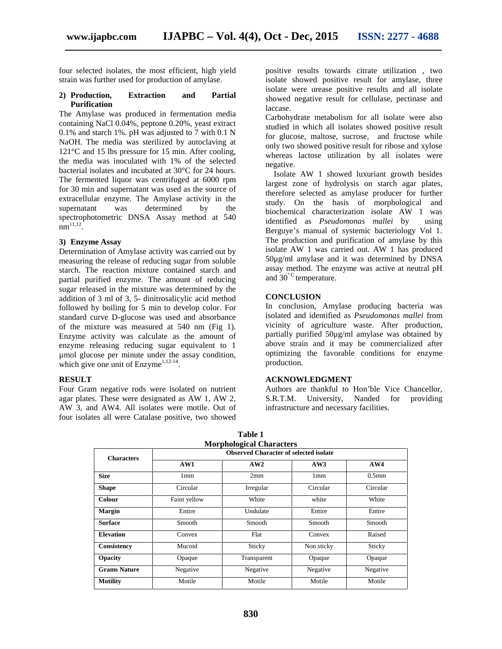four selected isolates, the most efficient, high yield strain was further used for production of amylase.

#### **2) Production, Extraction and Partial Purification**

The Amylase was produced in fermentation media containing NaCl 0.04%, peptone 0.20%, yeast extract 0.1% and starch 1%. pH was adjusted to 7 with 0.1 N NaOH. The media was sterilized by autoclaving at 121°C and 15 lbs pressure for 15 min. After cooling, the media was inoculated with 1% of the selected bacterial isolates and incubated at 30°C for 24 hours. The fermented liquor was centrifuged at 6000 rpm for 30 min and supernatant was used as the source of extracellular enzyme. The Amylase activity in the supernatant was determined by the spectrophotometric DNSA Assay method at 540  $nm^{11,12}$ .

#### **3) Enzyme Assay**

Determination of Amylase activity was carried out by measuring the release of reducing sugar from soluble starch. The reaction mixture contained starch and partial purified enzyme. The amount of reducing sugar released in the mixture was determined by the addition of 3 ml of 3, 5- dinitrosalicylic acid method followed by boiling for 5 min to develop color. For standard curve D-glucose was used and absorbance of the mixture was measured at 540 nm (Fig 1).Enzyme activity was calculate as the amount of enzyme releasing reducing sugar equivalent to 1 µmol glucose per minute under the assay condition, which give one unit of  $Enzyme^{1,12-14}$ .

### **RESULT**

Four Gram negative rods were isolated on nutrient agar plates. These were designated as AW 1, AW 2, AW 3, and AW4. All isolates were motile. Out of four isolates all were Catalase positive, two showed positive results towards citrate utilization , two isolate showed positive result for amylase, three isolate were urease positive results and all isolate showed negative result for cellulase, pectinase and laccase.

Carbohydrate metabolism for all isolate were also studied in which all isolates showed positive result for glucose, maltose, sucrose, and fructose while only two showed positive result for ribose and xylose whereas lactose utilization by all isolates were negative.

Isolate AW 1 showed luxuriant growth besides largest zone of hydrolysis on starch agar plates, therefore selected as amylase producer for further study. On the basis of morphological and biochemical characterization isolate AW 1 was identified as *Pseudomonas mallei* by using Berguye's manual of systemic bacteriology Vol 1. The production and purification of amylase by this isolate AW 1 was carried out. AW 1 has produced 50μg/ml amylase and it was determined by DNSA assay method. The enzyme was active at neutral pH and 30<sup>°C</sup> temperature.

#### **CONCLUSION**

In conclusion, Amylase producing bacteria was isolated and identified as *Pseudomonas mallei* from vicinity of agriculture waste. After production, partially purified 50μg/ml amylase was obtained by above strain and it may be commercialized after optimizing the favorable conditions for enzyme production.

### **ACKNOWLEDGMENT**

Authors are thankful to Hon'ble Vice Chancellor, S.R.T.M. University, Nanded for providing infrastructure and necessary facilities.

| Table 1                         |                                               |             |            |                   |  |  |  |
|---------------------------------|-----------------------------------------------|-------------|------------|-------------------|--|--|--|
| <b>Morphological Characters</b> |                                               |             |            |                   |  |  |  |
| <b>Characters</b>               | <b>Observed Character of selected isolate</b> |             |            |                   |  |  |  |
|                                 | AW1                                           | AW2         | AW3        | AW4               |  |  |  |
| <b>Size</b>                     | 1mm                                           | 2mm         | 1mm        | 0.5 <sub>mm</sub> |  |  |  |
| <b>Shape</b>                    | Circular                                      | Irregular   | Circular   | Circular          |  |  |  |
| Colour                          | Faint yellow                                  | White       | white      | White             |  |  |  |
| <b>Margin</b>                   | Entire                                        | Undulate    | Entire     | Entire            |  |  |  |
| <b>Surface</b>                  | Smooth                                        | Smooth      | Smooth     | Smooth            |  |  |  |
| <b>Elevation</b>                | Convex                                        | Flat        | Convex     | Raised            |  |  |  |
| Consistency                     | Mucoid                                        | Sticky      | Non sticky | Sticky            |  |  |  |
| Opacity                         | Opaque                                        | Transparent | Opaque     | Opaque            |  |  |  |
| <b>Grams Nature</b>             | Negative                                      | Negative    | Negative   | Negative          |  |  |  |
| <b>Motility</b>                 | Motile                                        | Motile      | Motile     | Motile            |  |  |  |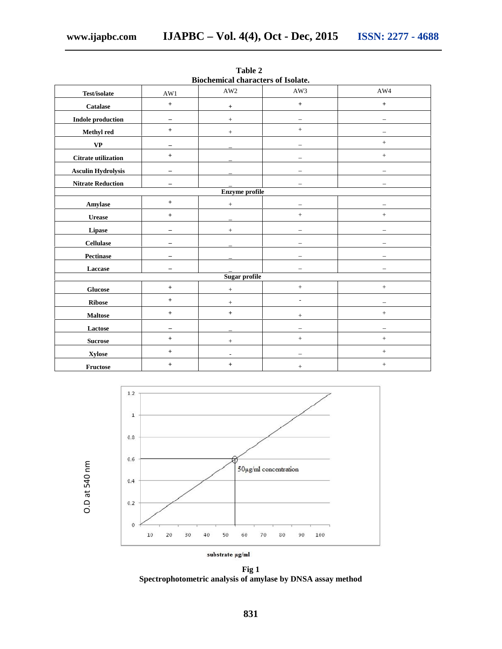| Diochemical characters of isolate. |                          |                                  |                          |                          |  |  |  |  |
|------------------------------------|--------------------------|----------------------------------|--------------------------|--------------------------|--|--|--|--|
| Test/isolate                       | AW1                      | AW2                              | AW3                      | AW4                      |  |  |  |  |
| Catalase                           | $\boldsymbol{+}$         | $^{\mathrm{+}}$                  | $\, +$                   | $\pm$                    |  |  |  |  |
| <b>Indole production</b>           | -                        | $+$                              |                          |                          |  |  |  |  |
| Methyl red                         | $\boldsymbol{+}$         | $+$                              | $+$                      |                          |  |  |  |  |
| $\mathbf{V}\mathbf{P}$             | $\overline{\phantom{0}}$ |                                  | $\overline{\phantom{0}}$ | $^{+}$                   |  |  |  |  |
| <b>Citrate utilization</b>         | $+$                      |                                  |                          | $\qquad \qquad +$        |  |  |  |  |
| <b>Asculin Hydrolysis</b>          |                          |                                  |                          |                          |  |  |  |  |
| <b>Nitrate Reduction</b>           | $\overline{\phantom{0}}$ |                                  |                          |                          |  |  |  |  |
| <b>Enzyme</b> profile              |                          |                                  |                          |                          |  |  |  |  |
| Amylase                            | $+$                      | $\ddot{}$                        |                          |                          |  |  |  |  |
| $\bf{U}$ rease                     | $\boldsymbol{+}$         |                                  | $\, +$                   | $\! +$                   |  |  |  |  |
| Lipase                             | $\qquad \qquad -$        | $+$                              | $\overline{\phantom{m}}$ | -                        |  |  |  |  |
| <b>Cellulase</b>                   |                          |                                  |                          |                          |  |  |  |  |
| ${\bf Pectinase}$                  |                          |                                  |                          |                          |  |  |  |  |
| Laccase                            | -                        |                                  |                          |                          |  |  |  |  |
| Sugar profile                      |                          |                                  |                          |                          |  |  |  |  |
| <b>Glucose</b>                     | $+$                      | $+$                              | $\qquad \qquad +$        | $+$                      |  |  |  |  |
| <b>Ribose</b>                      | $+$                      | $+$                              | ä,                       |                          |  |  |  |  |
| <b>Maltose</b>                     | $\boldsymbol{+}$         | $+$                              | $+$                      | $\! +$                   |  |  |  |  |
| Lactose                            | $\overline{\phantom{0}}$ |                                  |                          | $\overline{\phantom{0}}$ |  |  |  |  |
| <b>Sucrose</b>                     | $+$                      | $+$                              | $+$                      | $\, +$                   |  |  |  |  |
| <b>Xylose</b>                      | $\boldsymbol{+}$         | $\overline{\phantom{a}}$         |                          | $\! + \!$                |  |  |  |  |
| Fructose                           | $^{+}$                   | $\begin{array}{c} + \end{array}$ | $\boldsymbol{+}$         | $^{+}$                   |  |  |  |  |

**Table 2 Biochemical characters of Isolate.**



**Fig 1**<br>Spectrophotometric analysis of amylase by DNSA assay method